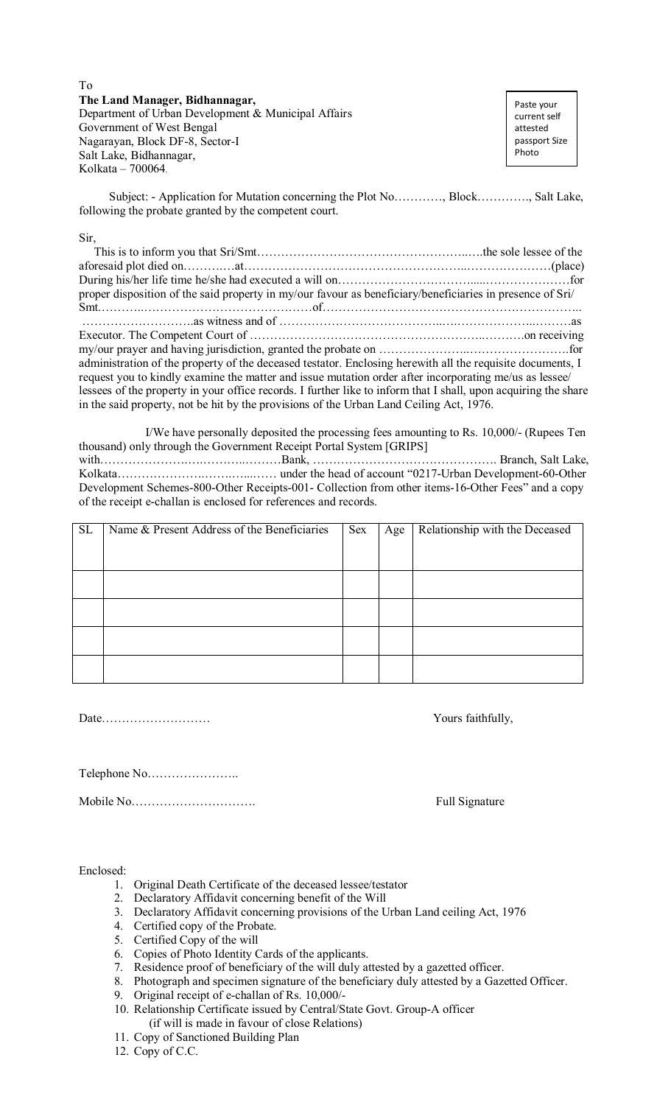To **The Land Manager, Bidhannagar,**  Department of Urban Development & Municipal Affairs Government of West Bengal Nagarayan, Block DF-8, Sector-I Salt Lake, Bidhannagar, Kolkata – 700064.

Paste your current self attested passport Size Photo

 Subject: - Application for Mutation concerning the Plot No…………, Block…………., Salt Lake, following the probate granted by the competent court.

Sir,

| proper disposition of the said property in my/our favour as beneficiary/beneficiaries in presence of Sri/       |  |
|-----------------------------------------------------------------------------------------------------------------|--|
|                                                                                                                 |  |
|                                                                                                                 |  |
|                                                                                                                 |  |
|                                                                                                                 |  |
| administration of the property of the deceased testator. Enclosing herewith all the requisite documents, I      |  |
| request you to kindly examine the matter and issue mutation order after incorporating me/us as lessee/          |  |
| lessees of the property in your office records. I further like to inform that I shall, upon acquiring the share |  |
| in the said property, not be hit by the provisions of the Urban Land Ceiling Act, 1976.                         |  |
|                                                                                                                 |  |

 I/We have personally deposited the processing fees amounting to Rs. 10,000/- (Rupees Ten thousand) only through the Government Receipt Portal System [GRIPS] with………………….….………..………Bank, ………………………………………. Branch, Salt Lake, Kolkata………………….…….…...…… under the head of account "0217-Urban Development-60-Other Development Schemes-800-Other Receipts-001- Collection from other items-16-Other Fees" and a copy of the receipt e-challan is enclosed for references and records.

| <b>SL</b> | Name & Present Address of the Beneficiaries | Sex | Age | Relationship with the Deceased |
|-----------|---------------------------------------------|-----|-----|--------------------------------|
|           |                                             |     |     |                                |
|           |                                             |     |     |                                |
|           |                                             |     |     |                                |
|           |                                             |     |     |                                |
|           |                                             |     |     |                                |
|           |                                             |     |     |                                |
|           |                                             |     |     |                                |
|           |                                             |     |     |                                |
|           |                                             |     |     |                                |
|           |                                             |     |     |                                |

Date……………………… Yours faithfully,

Telephone No…………………..

Mobile No…………………………. Full Signature

Enclosed:

- 1. Original Death Certificate of the deceased lessee/testator
- 2. Declaratory Affidavit concerning benefit of the Will
- 3. Declaratory Affidavit concerning provisions of the Urban Land ceiling Act, 1976
- 4. Certified copy of the Probate.
- 5. Certified Copy of the will
- 6. Copies of Photo Identity Cards of the applicants.
- 7. Residence proof of beneficiary of the will duly attested by a gazetted officer.
- 8. Photograph and specimen signature of the beneficiary duly attested by a Gazetted Officer.
- 9. Original receipt of e-challan of Rs. 10,000/-
- 10. Relationship Certificate issued by Central/State Govt. Group-A officer (if will is made in favour of close Relations)
- 11. Copy of Sanctioned Building Plan

12. Copy of C.C.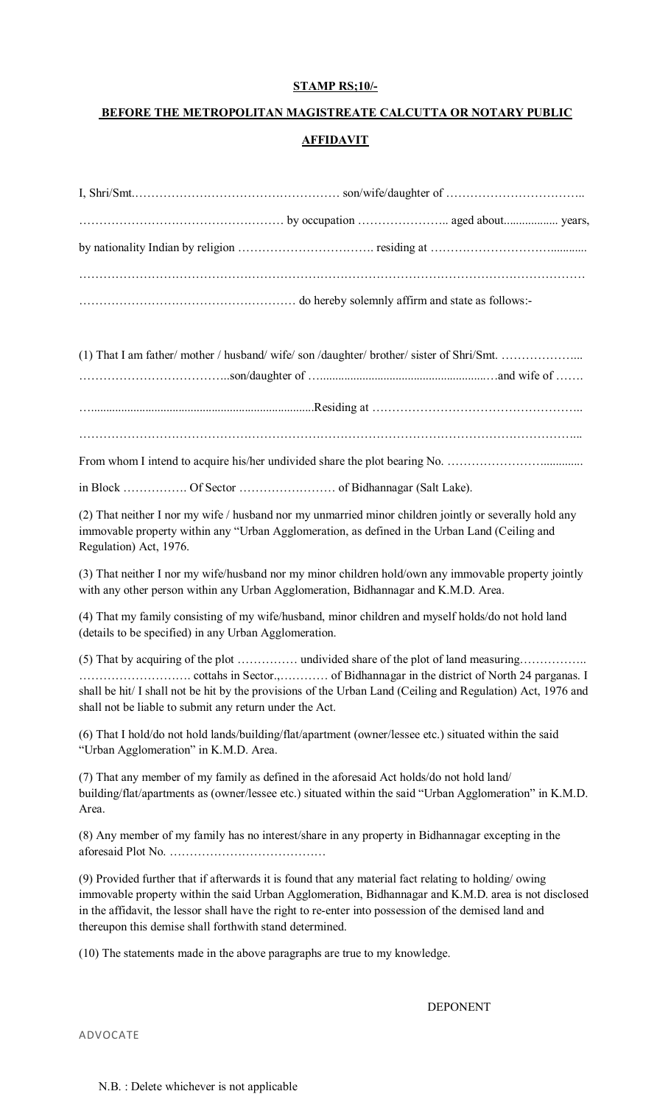## **STAMP RS;10/-**

## **BEFORE THE METROPOLITAN MAGISTREATE CALCUTTA OR NOTARY PUBLIC AFFIDAVIT**

From whom I intend to acquire his/her undivided share the plot bearing No. …………………….............

……………………………………………………………………………………………………………...

in Block ……………. Of Sector …………………… of Bidhannagar (Salt Lake).

(2) That neither I nor my wife / husband nor my unmarried minor children jointly or severally hold any immovable property within any "Urban Agglomeration, as defined in the Urban Land (Ceiling and Regulation) Act, 1976.

(3) That neither I nor my wife/husband nor my minor children hold/own any immovable property jointly with any other person within any Urban Agglomeration, Bidhannagar and K.M.D. Area.

(4) That my family consisting of my wife/husband, minor children and myself holds/do not hold land (details to be specified) in any Urban Agglomeration.

(5) That by acquiring of the plot …………… undivided share of the plot of land measuring…………….. ………………………. cottahs in Sector.,………… of Bidhannagar in the district of North 24 parganas. I shall be hit/ I shall not be hit by the provisions of the Urban Land (Ceiling and Regulation) Act, 1976 and shall not be liable to submit any return under the Act.

(6) That I hold/do not hold lands/building/flat/apartment (owner/lessee etc.) situated within the said "Urban Agglomeration" in K.M.D. Area.

(7) That any member of my family as defined in the aforesaid Act holds/do not hold land/ building/flat/apartments as (owner/lessee etc.) situated within the said "Urban Agglomeration" in K.M.D. Area.

(8) Any member of my family has no interest/share in any property in Bidhannagar excepting in the aforesaid Plot No. …………………………………

(9) Provided further that if afterwards it is found that any material fact relating to holding/ owing immovable property within the said Urban Agglomeration, Bidhannagar and K.M.D. area is not disclosed in the affidavit, the lessor shall have the right to re-enter into possession of the demised land and thereupon this demise shall forthwith stand determined.

(10) The statements made in the above paragraphs are true to my knowledge.

DEPONENT

ADVOCATE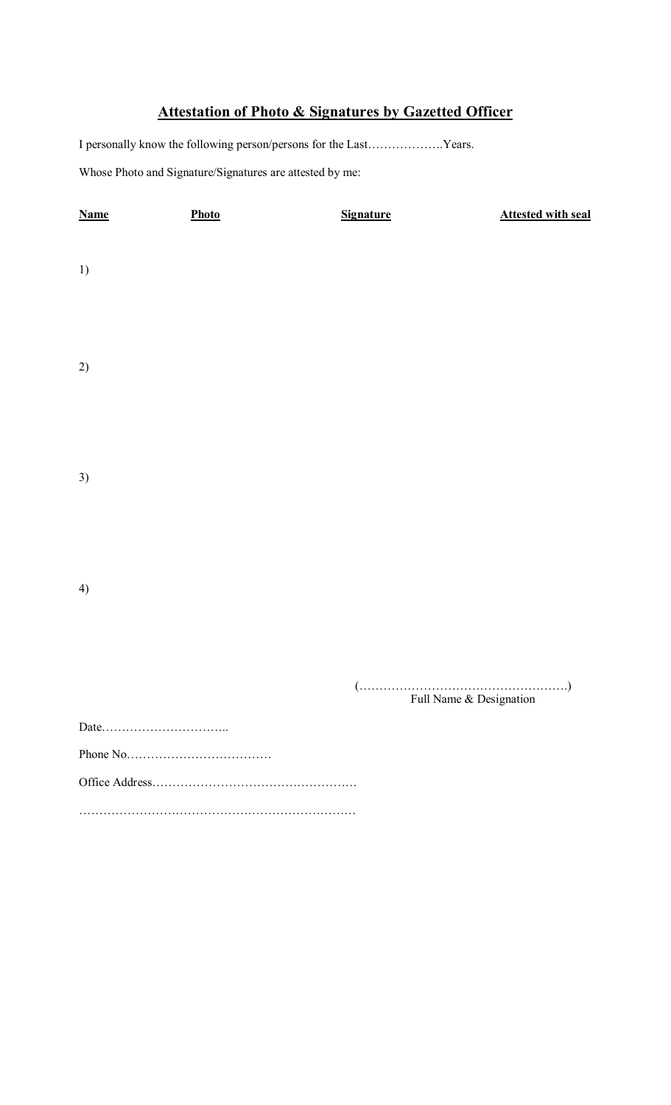## **Attestation of Photo & Signatures by Gazetted Officer**

I personally know the following person/persons for the Last……………….Years.

Whose Photo and Signature/Signatures are attested by me:

| <b>Name</b> | Photo | <b>Signature</b> | <b>Attested with seal</b>                                             |
|-------------|-------|------------------|-----------------------------------------------------------------------|
| 1)          |       |                  |                                                                       |
|             |       |                  |                                                                       |
| 2)          |       |                  |                                                                       |
|             |       |                  |                                                                       |
| 3)          |       |                  |                                                                       |
|             |       |                  |                                                                       |
|             |       |                  |                                                                       |
| 4)          |       |                  |                                                                       |
|             |       |                  | $(\dots,\dots,\dots,\dots,\dots,\dots,\dots,\dots,\dots,\dots,\dots)$ |
|             |       |                  | Full Name & Designation                                               |
|             |       |                  |                                                                       |
|             |       |                  |                                                                       |
|             |       |                  |                                                                       |
|             |       |                  |                                                                       |